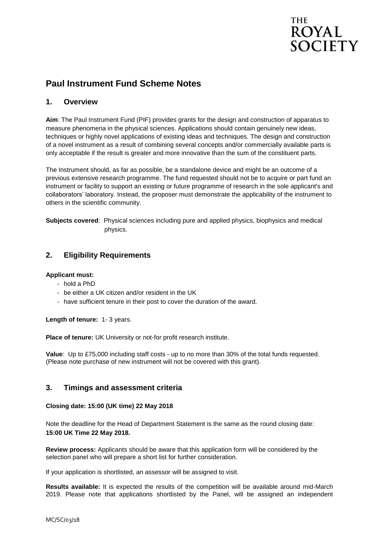# **THE ROYAL SOCIETY**

# **Paul Instrument Fund Scheme Notes**

## **1. Overview**

**Aim**: The Paul Instrument Fund (PIF) provides grants for the design and construction of apparatus to measure phenomena in the physical sciences. Applications should contain genuinely new ideas, techniques or highly novel applications of existing ideas and techniques. The design and construction of a novel instrument as a result of combining several concepts and/or commercially available parts is only acceptable if the result is greater and more innovative than the sum of the constituent parts.

The Instrument should, as far as possible, be a standalone device and might be an outcome of a previous extensive research programme. The fund requested should not be to acquire or part fund an instrument or facility to support an existing or future programme of research in the sole applicant's and collaborators' laboratory. Instead, the proposer must demonstrate the applicability of the instrument to others in the scientific community.

**Subjects covered**: Physical sciences including pure and applied physics, biophysics and medical physics.

# **2. Eligibility Requirements**

#### **Applicant must:**

- hold a PhD
- be either a UK citizen and/or resident in the UK
- have sufficient tenure in their post to cover the duration of the award.

**Length of tenure:** 1- 3 years.

**Place of tenure:** UK University or not-for profit research institute.

**Value**: Up to £75,000 including staff costs - up to no more than 30% of the total funds requested. (Please note purchase of new instrument will not be covered with this grant).

### **3. Timings and assessment criteria**

#### **Closing date: 15:00 (UK time) 22 May 2018**

Note the deadline for the Head of Department Statement is the same as the round closing date: **15:00 UK Time 22 May 2018.**

**Review process:** Applicants should be aware that this application form will be considered by the selection panel who will prepare a short list for further consideration.

If your application is shortlisted, an assessor will be assigned to visit.

**Results available:** It is expected the results of the competition will be available around mid-March 2019. Please note that applications shortlisted by the Panel, will be assigned an independent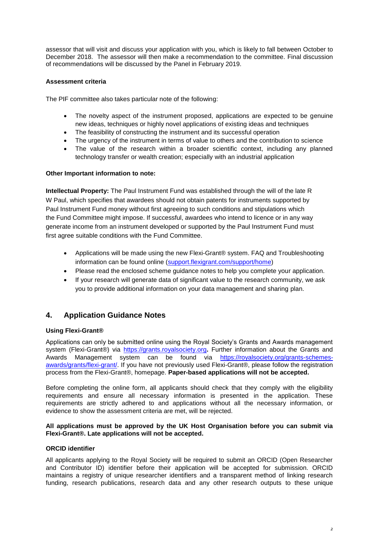assessor that will visit and discuss your application with you, which is likely to fall between October to December 2018. The assessor will then make a recommendation to the committee. Final discussion of recommendations will be discussed by the Panel in February 2019.

#### **Assessment criteria**

The PIF committee also takes particular note of the following:

- The novelty aspect of the instrument proposed, applications are expected to be genuine new ideas, techniques or highly novel applications of existing ideas and techniques
- The feasibility of constructing the instrument and its successful operation
- The urgency of the instrument in terms of value to others and the contribution to science
- The value of the research within a broader scientific context, including any planned technology transfer or wealth creation; especially with an industrial application

#### **Other Important information to note:**

**Intellectual Property:** The Paul Instrument Fund was established through the will of the late R W Paul, which specifies that awardees should not obtain patents for instruments supported by Paul Instrument Fund money without first agreeing to such conditions and stipulations which the Fund Committee might impose. If successful, awardees who intend to licence or in any way generate income from an instrument developed or supported by the Paul Instrument Fund must first agree suitable conditions with the Fund Committee.

- Applications will be made using the new Flexi-Grant® system. FAQ and Troubleshooting information can be found online [\(support.flexigrant.com/support/home\)](https://support.flexigrant.com/support/home)
- Please read the enclosed scheme guidance notes to help you complete your application.
- If your research will generate data of significant value to the research community, we ask you to provide additional information on your data management and sharing plan.

### **4. Application Guidance Notes**

#### **Using Flexi-Grant®**

Applications can only be submitted online using the Royal Society's Grants and Awards management system (Flexi-Grant®) via [https://grants.royalsociety.org](https://grants.royalsociety.org/)**.** Further information about the Grants and Awards Management system can be found via [https://royalsociety.org/grants-schemes](https://royalsociety.org/grants-schemes-awards/grants/flexi-grant/)[awards/grants/flexi-grant/.](https://royalsociety.org/grants-schemes-awards/grants/flexi-grant/) If you have not previously used Flexi-Grant®, please follow the registration process from the Flexi-Grant®, homepage. **Paper-based applications will not be accepted.**

Before completing the online form, all applicants should check that they comply with the eligibility requirements and ensure all necessary information is presented in the application. These requirements are strictly adhered to and applications without all the necessary information, or evidence to show the assessment criteria are met, will be rejected.

#### **All applications must be approved by the UK Host Organisation before you can submit via Flexi-Grant®. Late applications will not be accepted.**

#### **ORCID identifier**

All applicants applying to the Royal Society will be required to submit an ORCID (Open Researcher and Contributor ID) identifier before their application will be accepted for submission. ORCID maintains a registry of unique researcher identifiers and a transparent method of linking research funding, research publications, research data and any other research outputs to these unique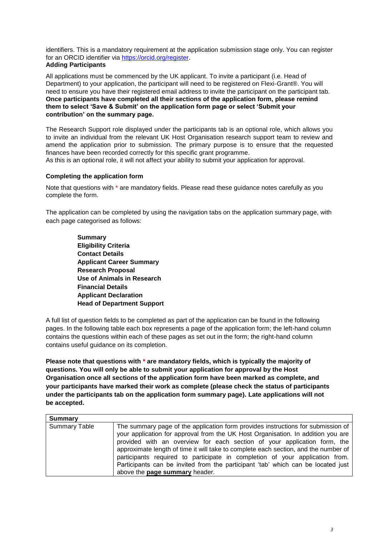identifiers. This is a mandatory requirement at the application submission stage only. You can register for an ORCID identifier via [https://orcid.org/register.](https://orcid.org/register)

#### **Adding Participants**

All applications must be commenced by the UK applicant. To invite a participant (i.e. Head of Department) to your application, the participant will need to be registered on Flexi-Grant®. You will need to ensure you have their registered email address to invite the participant on the participant tab. **Once participants have completed all their sections of the application form, please remind them to select 'Save & Submit' on the application form page or select 'Submit your contribution' on the summary page.** 

The Research Support role displayed under the participants tab is an optional role, which allows you to invite an individual from the relevant UK Host Organisation research support team to review and amend the application prior to submission. The primary purpose is to ensure that the requested finances have been recorded correctly for this specific grant programme.

As this is an optional role, it will not affect your ability to submit your application for approval.

#### **Completing the application form**

Note that questions with \* are mandatory fields. Please read these guidance notes carefully as you complete the form.

The application can be completed by using the navigation tabs on the application summary page, with each page categorised as follows:

> **Summary Eligibility Criteria Contact Details Applicant Career Summary Research Proposal Use of Animals in Research Financial Details Applicant Declaration Head of Department Support**

A full list of question fields to be completed as part of the application can be found in the following pages. In the following table each box represents a page of the application form; the left-hand column contains the questions within each of these pages as set out in the form; the right-hand column contains useful guidance on its completion.

**Please note that questions with \* are mandatory fields, which is typically the majority of questions. You will only be able to submit your application for approval by the Host Organisation once all sections of the application form have been marked as complete, and your participants have marked their work as complete (please check the status of participants under the participants tab on the application form summary page). Late applications will not be accepted.**

| Summary              |                                                                                                                                                                                                                                                                                                                                                                                                                                                                                                                                               |
|----------------------|-----------------------------------------------------------------------------------------------------------------------------------------------------------------------------------------------------------------------------------------------------------------------------------------------------------------------------------------------------------------------------------------------------------------------------------------------------------------------------------------------------------------------------------------------|
| <b>Summary Table</b> | The summary page of the application form provides instructions for submission of<br>your application for approval from the UK Host Organisation. In addition you are<br>provided with an overview for each section of your application form, the<br>approximate length of time it will take to complete each section, and the number of<br>participants required to participate in completion of your application from.<br>Participants can be invited from the participant 'tab' which can be located just<br>above the page summary header. |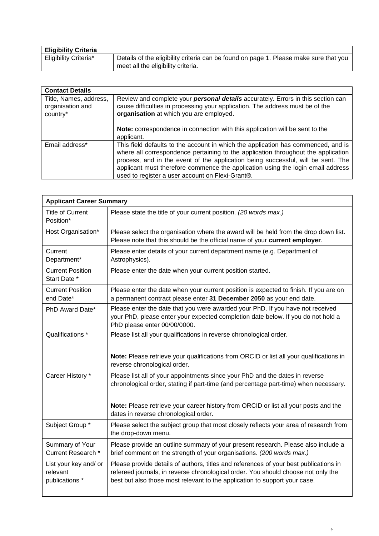| <b>Eligibility Criteria</b> |                                                                                       |
|-----------------------------|---------------------------------------------------------------------------------------|
| Eligibility Criteria*       | Details of the eligibility criteria can be found on page 1. Please make sure that you |
|                             | meet all the eligibility criteria.                                                    |

| <b>Contact Details</b>                                 |                                                                                                                                                                                                                                                                                                                                                                                                   |
|--------------------------------------------------------|---------------------------------------------------------------------------------------------------------------------------------------------------------------------------------------------------------------------------------------------------------------------------------------------------------------------------------------------------------------------------------------------------|
| Title, Names, address,<br>organisation and<br>country* | Review and complete your <b>personal details</b> accurately. Errors in this section can<br>cause difficulties in processing your application. The address must be of the<br>organisation at which you are employed.                                                                                                                                                                               |
|                                                        | Note: correspondence in connection with this application will be sent to the<br>applicant.                                                                                                                                                                                                                                                                                                        |
| Email address*                                         | This field defaults to the account in which the application has commenced, and is<br>where all correspondence pertaining to the application throughout the application<br>process, and in the event of the application being successful, will be sent. The<br>applicant must therefore commence the application using the login email address<br>used to register a user account on Flexi-Grant®. |

| <b>Applicant Career Summary</b>                     |                                                                                                                                                                                                                                                          |  |
|-----------------------------------------------------|----------------------------------------------------------------------------------------------------------------------------------------------------------------------------------------------------------------------------------------------------------|--|
| <b>Title of Current</b><br>Position*                | Please state the title of your current position. (20 words max.)                                                                                                                                                                                         |  |
| Host Organisation*                                  | Please select the organisation where the award will be held from the drop down list.<br>Please note that this should be the official name of your current employer.                                                                                      |  |
| Current<br>Department*                              | Please enter details of your current department name (e.g. Department of<br>Astrophysics).                                                                                                                                                               |  |
| <b>Current Position</b><br>Start Date *             | Please enter the date when your current position started.                                                                                                                                                                                                |  |
| <b>Current Position</b><br>end Date*                | Please enter the date when your current position is expected to finish. If you are on<br>a permanent contract please enter 31 December 2050 as your end date.                                                                                            |  |
| PhD Award Date*                                     | Please enter the date that you were awarded your PhD. If you have not received<br>your PhD, please enter your expected completion date below. If you do not hold a<br>PhD please enter 00/00/0000.                                                       |  |
| Qualifications *                                    | Please list all your qualifications in reverse chronological order.                                                                                                                                                                                      |  |
|                                                     | Note: Please retrieve your qualifications from ORCID or list all your qualifications in<br>reverse chronological order.                                                                                                                                  |  |
| Career History *                                    | Please list all of your appointments since your PhD and the dates in reverse<br>chronological order, stating if part-time (and percentage part-time) when necessary.                                                                                     |  |
|                                                     | Note: Please retrieve your career history from ORCID or list all your posts and the<br>dates in reverse chronological order.                                                                                                                             |  |
| Subject Group *                                     | Please select the subject group that most closely reflects your area of research from<br>the drop-down menu.                                                                                                                                             |  |
| Summary of Your<br>Current Research *               | Please provide an outline summary of your present research. Please also include a<br>brief comment on the strength of your organisations. (200 words max.)                                                                                               |  |
| List your key and/ or<br>relevant<br>publications * | Please provide details of authors, titles and references of your best publications in<br>refereed journals, in reverse chronological order. You should choose not only the<br>best but also those most relevant to the application to support your case. |  |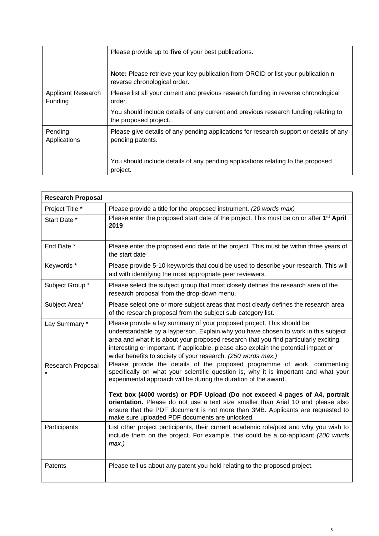|                               | Please provide up to five of your best publications.                                                                    |
|-------------------------------|-------------------------------------------------------------------------------------------------------------------------|
|                               | <b>Note:</b> Please retrieve your key publication from ORCID or list your publication n<br>reverse chronological order. |
| Applicant Research<br>Funding | Please list all your current and previous research funding in reverse chronological<br>order.                           |
|                               | You should include details of any current and previous research funding relating to<br>the proposed project.            |
| Pending<br>Applications       | Please give details of any pending applications for research support or details of any<br>pending patents.              |
|                               | You should include details of any pending applications relating to the proposed<br>project.                             |

| <b>Research Proposal</b> |                                                                                                                                                                                                                                                                                                                                                                                                              |
|--------------------------|--------------------------------------------------------------------------------------------------------------------------------------------------------------------------------------------------------------------------------------------------------------------------------------------------------------------------------------------------------------------------------------------------------------|
| Project Title *          | Please provide a title for the proposed instrument. (20 words max)                                                                                                                                                                                                                                                                                                                                           |
| Start Date *             | Please enter the proposed start date of the project. This must be on or after 1 <sup>st</sup> April<br>2019                                                                                                                                                                                                                                                                                                  |
| End Date *               | Please enter the proposed end date of the project. This must be within three years of<br>the start date                                                                                                                                                                                                                                                                                                      |
| Keywords*                | Please provide 5-10 keywords that could be used to describe your research. This will<br>aid with identifying the most appropriate peer reviewers.                                                                                                                                                                                                                                                            |
| Subject Group *          | Please select the subject group that most closely defines the research area of the<br>research proposal from the drop-down menu.                                                                                                                                                                                                                                                                             |
| Subject Area*            | Please select one or more subject areas that most clearly defines the research area<br>of the research proposal from the subject sub-category list.                                                                                                                                                                                                                                                          |
| Lay Summary *            | Please provide a lay summary of your proposed project. This should be<br>understandable by a layperson. Explain why you have chosen to work in this subject<br>area and what it is about your proposed research that you find particularly exciting,<br>interesting or important. If applicable, please also explain the potential impact or<br>wider benefits to society of your research. (250 words max.) |
| Research Proposal        | Please provide the details of the proposed programme of work, commenting<br>specifically on what your scientific question is, why it is important and what your<br>experimental approach will be during the duration of the award.                                                                                                                                                                           |
|                          | Text box (4000 words) or PDF Upload (Do not exceed 4 pages of A4, portrait<br>orientation. Please do not use a text size smaller than Arial 10 and please also<br>ensure that the PDF document is not more than 3MB. Applicants are requested to<br>make sure uploaded PDF documents are unlocked.                                                                                                           |
| Participants             | List other project participants, their current academic role/post and why you wish to<br>include them on the project. For example, this could be a co-applicant (200 words<br>$max.$ )                                                                                                                                                                                                                       |
| Patents                  | Please tell us about any patent you hold relating to the proposed project.                                                                                                                                                                                                                                                                                                                                   |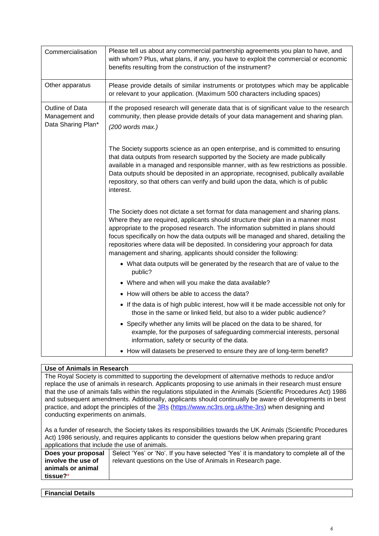| Commercialisation                                       | Please tell us about any commercial partnership agreements you plan to have, and<br>with whom? Plus, what plans, if any, you have to exploit the commercial or economic<br>benefits resulting from the construction of the instrument?                                                                                                                                                                                                                                                                   |
|---------------------------------------------------------|----------------------------------------------------------------------------------------------------------------------------------------------------------------------------------------------------------------------------------------------------------------------------------------------------------------------------------------------------------------------------------------------------------------------------------------------------------------------------------------------------------|
| Other apparatus                                         | Please provide details of similar instruments or prototypes which may be applicable<br>or relevant to your application. (Maximum 500 characters including spaces)                                                                                                                                                                                                                                                                                                                                        |
| Outline of Data<br>Management and<br>Data Sharing Plan* | If the proposed research will generate data that is of significant value to the research<br>community, then please provide details of your data management and sharing plan.<br>$(200$ words max.)                                                                                                                                                                                                                                                                                                       |
|                                                         | The Society supports science as an open enterprise, and is committed to ensuring<br>that data outputs from research supported by the Society are made publically<br>available in a managed and responsible manner, with as few restrictions as possible.<br>Data outputs should be deposited in an appropriate, recognised, publically available<br>repository, so that others can verify and build upon the data, which is of public<br>interest.                                                       |
|                                                         | The Society does not dictate a set format for data management and sharing plans.<br>Where they are required, applicants should structure their plan in a manner most<br>appropriate to the proposed research. The information submitted in plans should<br>focus specifically on how the data outputs will be managed and shared, detailing the<br>repositories where data will be deposited. In considering your approach for data<br>management and sharing, applicants should consider the following: |
|                                                         | • What data outputs will be generated by the research that are of value to the<br>public?                                                                                                                                                                                                                                                                                                                                                                                                                |
|                                                         | • Where and when will you make the data available?                                                                                                                                                                                                                                                                                                                                                                                                                                                       |
|                                                         | • How will others be able to access the data?                                                                                                                                                                                                                                                                                                                                                                                                                                                            |
|                                                         | • If the data is of high public interest, how will it be made accessible not only for<br>those in the same or linked field, but also to a wider public audience?                                                                                                                                                                                                                                                                                                                                         |
|                                                         | • Specify whether any limits will be placed on the data to be shared, for<br>example, for the purposes of safeguarding commercial interests, personal<br>information, safety or security of the data.                                                                                                                                                                                                                                                                                                    |
|                                                         | • How will datasets be preserved to ensure they are of long-term benefit?                                                                                                                                                                                                                                                                                                                                                                                                                                |

### **Use of Animals in Research**

The Royal Society is committed to supporting the development of alternative methods to reduce and/or replace the use of animals in research. Applicants proposing to use animals in their research must ensure that the use of animals falls within the regulations stipulated in the Animals (Scientific Procedures Act) 1986 and subsequent amendments. Additionally, applicants should continually be aware of developments in best practice, and adopt the principles of the **3Rs** [\(https://www.nc3rs.org.uk/the-3rs\)](https://www.nc3rs.org.uk/the-3rs) when designing and conducting experiments on animals.

As a funder of research, the Society takes its responsibilities towards the UK Animals (Scientific Procedures Act) 1986 seriously, and requires applicants to consider the questions below when preparing grant applications that include the use of animals.

| Does your proposal | Select 'Yes' or 'No'. If you have selected 'Yes' it is mandatory to complete all of the |
|--------------------|-----------------------------------------------------------------------------------------|
| involve the use of | relevant questions on the Use of Animals in Research page.                              |
| animals or animal  |                                                                                         |
| tissue?*           |                                                                                         |

| <b>Financial Details</b> |  |  |
|--------------------------|--|--|
|                          |  |  |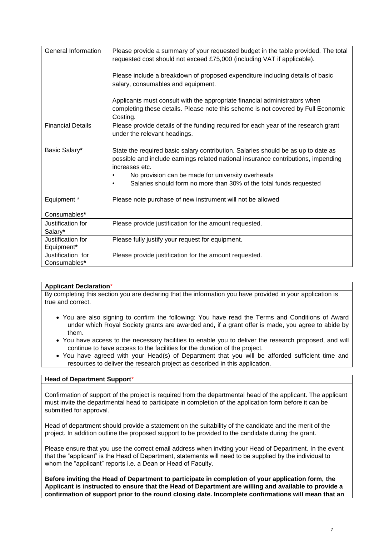| General Information               | Please provide a summary of your requested budget in the table provided. The total<br>requested cost should not exceed £75,000 (including VAT if applicable).                            |
|-----------------------------------|------------------------------------------------------------------------------------------------------------------------------------------------------------------------------------------|
|                                   | Please include a breakdown of proposed expenditure including details of basic<br>salary, consumables and equipment.                                                                      |
|                                   | Applicants must consult with the appropriate financial administrators when<br>completing these details. Please note this scheme is not covered by Full Economic<br>Costing.              |
| <b>Financial Details</b>          | Please provide details of the funding required for each year of the research grant<br>under the relevant headings.                                                                       |
| Basic Salary*                     | State the required basic salary contribution. Salaries should be as up to date as<br>possible and include earnings related national insurance contributions, impending<br>increases etc. |
|                                   | No provision can be made for university overheads                                                                                                                                        |
|                                   | Salaries should form no more than 30% of the total funds requested<br>$\bullet$                                                                                                          |
| Equipment *                       | Please note purchase of new instrument will not be allowed                                                                                                                               |
| Consumables*                      |                                                                                                                                                                                          |
| Justification for                 | Please provide justification for the amount requested.                                                                                                                                   |
| Salary*                           |                                                                                                                                                                                          |
| Justification for<br>Equipment*   | Please fully justify your request for equipment.                                                                                                                                         |
| Justification for<br>Consumables* | Please provide justification for the amount requested.                                                                                                                                   |

#### **Applicant Declaration**\*

By completing this section you are declaring that the information you have provided in your application is true and correct.

- You are also signing to confirm the following: You have read the Terms and Conditions of Award under which Royal Society grants are awarded and, if a grant offer is made, you agree to abide by them.
- You have access to the necessary facilities to enable you to deliver the research proposed, and will continue to have access to the facilities for the duration of the project.
- You have agreed with your Head(s) of Department that you will be afforded sufficient time and resources to deliver the research project as described in this application.

#### **Head of Department Support**\*

Confirmation of support of the project is required from the departmental head of the applicant. The applicant must invite the departmental head to participate in completion of the application form before it can be submitted for approval.

Head of department should provide a statement on the suitability of the candidate and the merit of the project. In addition outline the proposed support to be provided to the candidate during the grant.

Please ensure that you use the correct email address when inviting your Head of Department. In the event that the "applicant" is the Head of Department, statements will need to be supplied by the individual to whom the "applicant" reports i.e. a Dean or Head of Faculty.

**Before inviting the Head of Department to participate in completion of your application form, the Applicant is instructed to ensure that the Head of Department are willing and available to provide a confirmation of support prior to the round closing date. Incomplete confirmations will mean that an**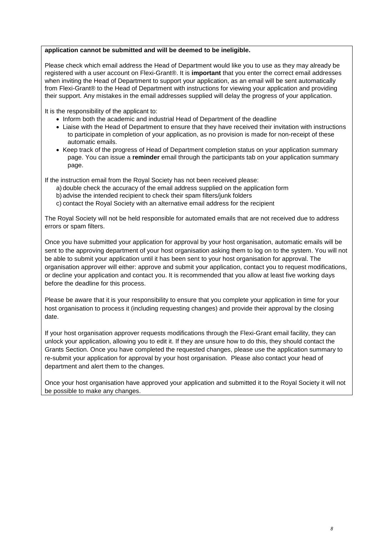#### **application cannot be submitted and will be deemed to be ineligible.**

Please check which email address the Head of Department would like you to use as they may already be registered with a user account on Flexi-Grant®. It is **important** that you enter the correct email addresses when inviting the Head of Department to support your application, as an email will be sent automatically from Flexi-Grant® to the Head of Department with instructions for viewing your application and providing their support. Any mistakes in the email addresses supplied will delay the progress of your application.

It is the responsibility of the applicant to:

- Inform both the academic and industrial Head of Department of the deadline
- Liaise with the Head of Department to ensure that they have received their invitation with instructions to participate in completion of your application, as no provision is made for non-receipt of these automatic emails.
- Keep track of the progress of Head of Department completion status on your application summary page. You can issue a **reminder** email through the participants tab on your application summary page.

If the instruction email from the Royal Society has not been received please:

- a) double check the accuracy of the email address supplied on the application form
- b) advise the intended recipient to check their spam filters/junk folders
- c) contact the Royal Society with an alternative email address for the recipient

The Royal Society will not be held responsible for automated emails that are not received due to address errors or spam filters.

Once you have submitted your application for approval by your host organisation, automatic emails will be sent to the approving department of your host organisation asking them to log on to the system. You will not be able to submit your application until it has been sent to your host organisation for approval. The organisation approver will either: approve and submit your application, contact you to request modifications, or decline your application and contact you. It is recommended that you allow at least five working days before the deadline for this process.

Please be aware that it is your responsibility to ensure that you complete your application in time for your host organisation to process it (including requesting changes) and provide their approval by the closing date.

If your host organisation approver requests modifications through the Flexi-Grant email facility, they can unlock your application, allowing you to edit it. If they are unsure how to do this, they should contact the Grants Section. Once you have completed the requested changes, please use the application summary to re-submit your application for approval by your host organisation. Please also contact your head of department and alert them to the changes.

Once your host organisation have approved your application and submitted it to the Royal Society it will not be possible to make any changes.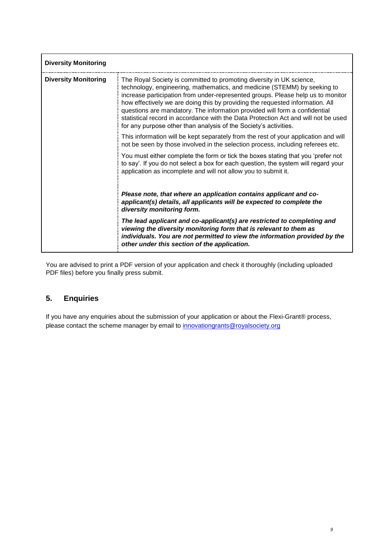| <b>Diversity Monitoring</b> |                                                                                                                                                                                                                                                                                                                                                                                                                                                                                                                                                              |  |
|-----------------------------|--------------------------------------------------------------------------------------------------------------------------------------------------------------------------------------------------------------------------------------------------------------------------------------------------------------------------------------------------------------------------------------------------------------------------------------------------------------------------------------------------------------------------------------------------------------|--|
| <b>Diversity Monitoring</b> | The Royal Society is committed to promoting diversity in UK science,<br>technology, engineering, mathematics, and medicine (STEMM) by seeking to<br>increase participation from under-represented groups. Please help us to monitor<br>how effectively we are doing this by providing the requested information. All<br>questions are mandatory. The information provided will form a confidential<br>statistical record in accordance with the Data Protection Act and will not be used<br>for any purpose other than analysis of the Society's activities. |  |
|                             | This information will be kept separately from the rest of your application and will<br>not be seen by those involved in the selection process, including referees etc.                                                                                                                                                                                                                                                                                                                                                                                       |  |
|                             | You must either complete the form or tick the boxes stating that you 'prefer not<br>to say'. If you do not select a box for each question, the system will regard your<br>application as incomplete and will not allow you to submit it.                                                                                                                                                                                                                                                                                                                     |  |
|                             | Please note, that where an application contains applicant and co-<br>applicant(s) details, all applicants will be expected to complete the<br>diversity monitoring form.                                                                                                                                                                                                                                                                                                                                                                                     |  |
|                             | The lead applicant and co-applicant(s) are restricted to completing and<br>viewing the diversity monitoring form that is relevant to them as<br>individuals. You are not permitted to view the information provided by the<br>other under this section of the application.                                                                                                                                                                                                                                                                                   |  |

You are advised to print a PDF version of your application and check it thoroughly (including uploaded PDF files) before you finally press submit.

# **5. Enquiries**

If you have any enquiries about the submission of your application or about the Flexi-Grant® process, please contact the scheme manager by email to [innovationgrants@royalsociety.org](mailto:innovationgrants@royalsociety.org)